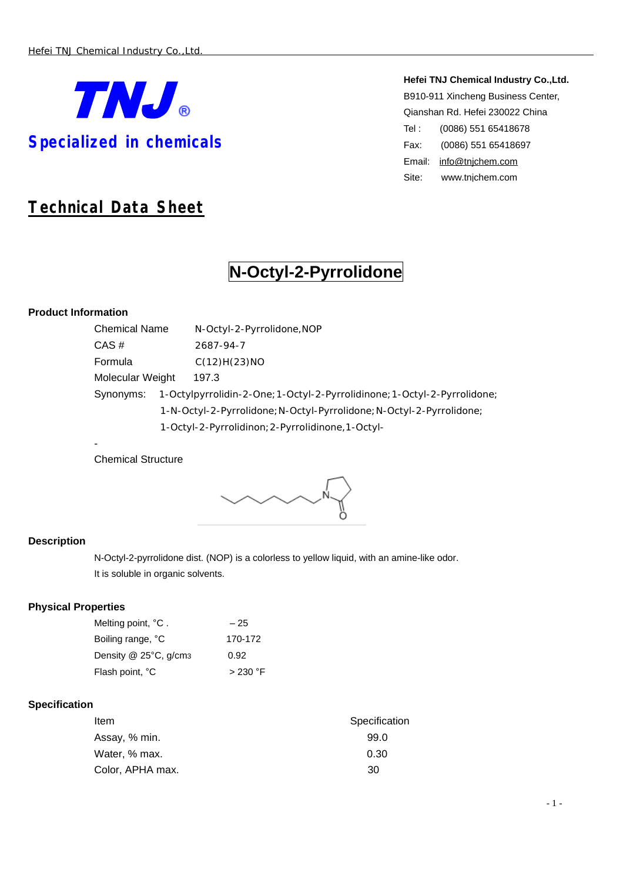

**Hefei TNJ Chemical Industry Co.,Ltd.** B910-911 Xincheng Business Center, Qianshan Rd. Hefei 230022 China Tel : (0086) 551 65418678 Fax: (0086) 551 65418697 Email: [info@tnjchem.com](mailto:info@tnjchem.com) Site: [www.tnjchem.com](http://www.tnjchem.com)

# *Technical Data Sheet*

# **N-Octyl-2-Pyrrolidone**

# **Product Information**

-

| <b>Chemical Name</b> |  | N-Octyl-2-Pyrrolidone, NOP                                             |
|----------------------|--|------------------------------------------------------------------------|
| CAS#                 |  | 2687-94-7                                                              |
| Formula              |  | C(12)H(23)NO                                                           |
| Molecular Weight     |  | 197.3                                                                  |
| Synonyms:            |  | 1-Octylpyrrolidin-2-One;1-Octyl-2-Pyrrolidinone;1-Octyl-2-Pyrrolidone; |
|                      |  | 1-N-Octyl-2-Pyrrolidone; N-Octyl-Pyrrolidone; N-Octyl-2-Pyrrolidone;   |
|                      |  | 1-Octyl-2-Pyrrolidinon; 2-Pyrrolidinone, 1-Octyl-                      |

Chemical Structure

# **Description**

N-Octyl-2-pyrrolidone dist. (NOP) is a colorless to yellow liquid, with an amine-like odor. It is soluble in organic solvents.

# **Physical Properties**

| Melting point, °C.    | $-25$     |
|-----------------------|-----------|
| Boiling range, °C     | 170-172   |
| Density @ 25°C, g/cm3 | 0.92      |
| Flash point, °C       | $>230$ °F |

# **Specification**

| Item             | Specification |
|------------------|---------------|
| Assay, % min.    | 99.0          |
| Water, % max.    | 0.30          |
| Color, APHA max. | -30           |